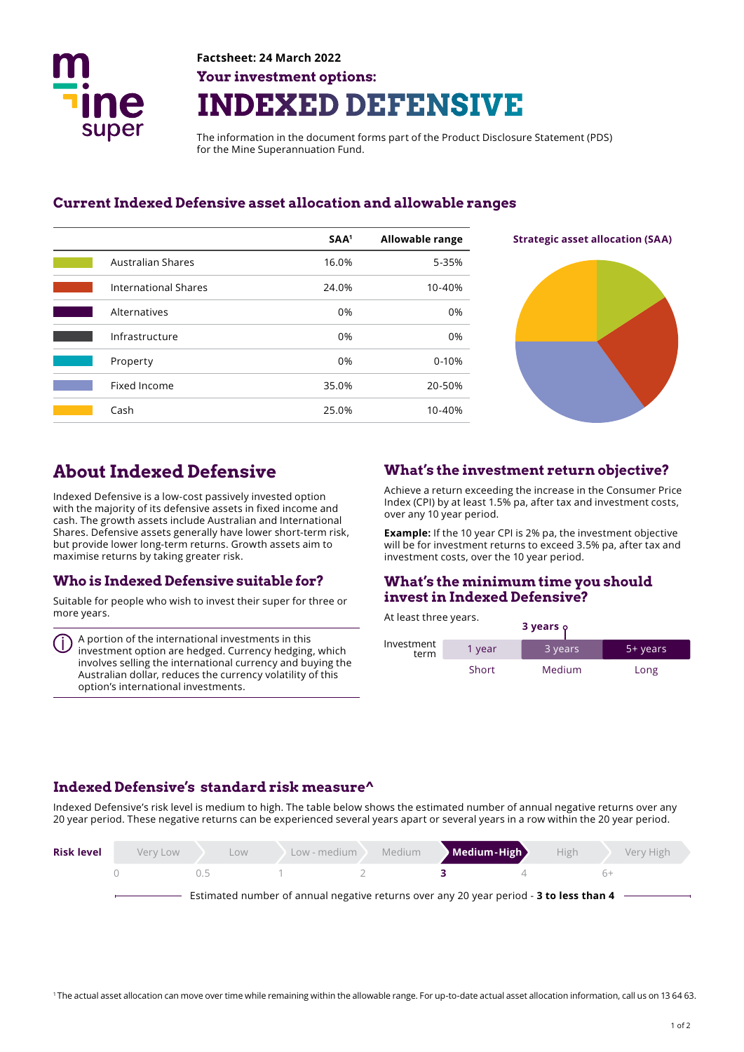

# **Factsheet: 24 March 2022 Your investment options: INDEXED DEFENSIVE**

The information in the document forms part of the Product Disclosure Statement (PDS) for the Mine Superannuation Fund.

#### **Current Indexed Defensive asset allocation and allowable ranges**

|                             | SAA <sup>1</sup> | <b>Allowable range</b> |
|-----------------------------|------------------|------------------------|
| <b>Australian Shares</b>    | 16.0%            | 5-35%                  |
| <b>International Shares</b> | 24.0%            | 10-40%                 |
| Alternatives                | 0%               | 0%                     |
| Infrastructure              | 0%               | 0%                     |
| Property                    | 0%               | $0 - 10%$              |
| Fixed Income                | 35.0%            | 20-50%                 |
| Cash                        | 25.0%            | 10-40%                 |



# **About Indexed Defensive**

Indexed Defensive is a low-cost passively invested option with the majority of its defensive assets in fixed income and cash. The growth assets include Australian and International Shares. Defensive assets generally have lower short-term risk, but provide lower long-term returns. Growth assets aim to maximise returns by taking greater risk.

### **Who is Indexed Defensive suitable for?**

Suitable for people who wish to invest their super for three or more years.

A portion of the international investments in this investment option are hedged. Currency hedging, which involves selling the international currency and buying the Australian dollar, reduces the currency volatility of this option's international investments.

### **What's the investment return objective?**

Achieve a return exceeding the increase in the Consumer Price Index (CPI) by at least 1.5% pa, after tax and investment costs, over any 10 year period.

**Example:** If the 10 year CPI is 2% pa, the investment objective will be for investment returns to exceed 3.5% pa, after tax and investment costs, over the 10 year period.

#### **What's the minimum time you should invest in Indexed Defensive?**

At least three years. **3 years** 

|                    |        | $5$ years $\gamma$ |          |
|--------------------|--------|--------------------|----------|
| Investment<br>term | 1 year | 3 years            | 5+ years |
|                    | Short  | Medium             | Long     |

### **Indexed Defensive's standard risk measure^**

Indexed Defensive's risk level is medium to high. The table below shows the estimated number of annual negative returns over any 20 year period. These negative returns can be experienced several years apart or several years in a row within the 20 year period.

| <b>Risk level</b> | Very Low | LOW.                                                                                   | Low - medium | Medium | Medium-High | High | Very High |
|-------------------|----------|----------------------------------------------------------------------------------------|--------------|--------|-------------|------|-----------|
|                   |          | (15                                                                                    |              |        |             |      | $h+$      |
|                   |          | Estimated number of annual negative returns over any 20 year period - 3 to less than 4 |              |        |             |      |           |